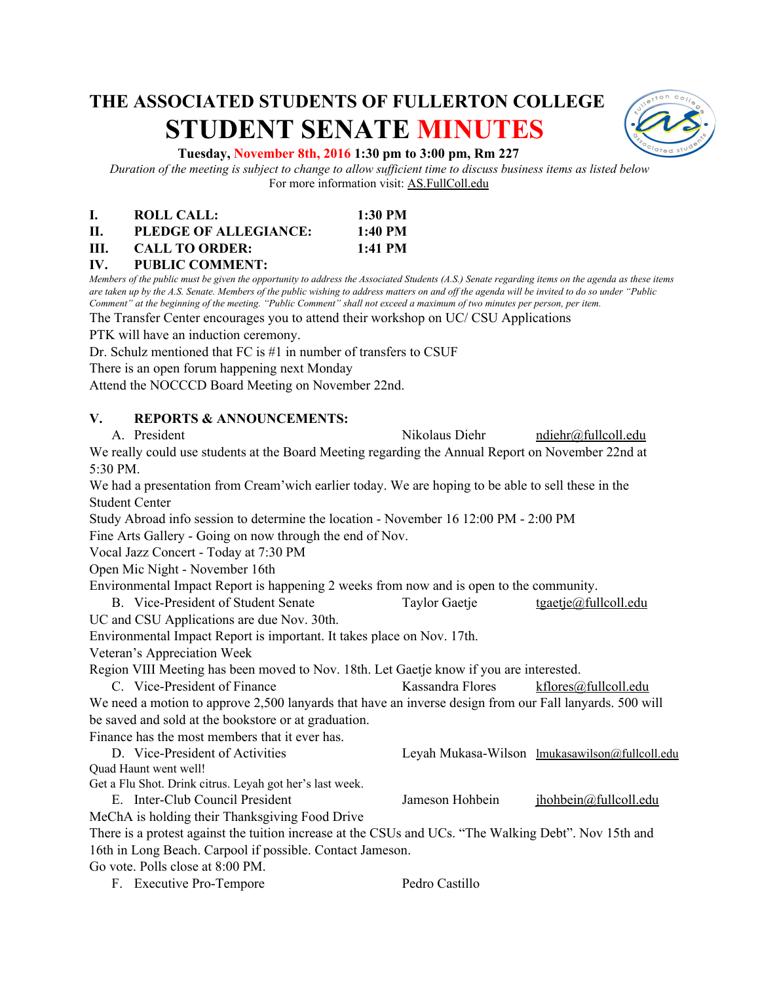# **THE ASSOCIATED STUDENTS OF FULLERTON COLLEGE STUDENT SENATE MINUTES**



#### **Tuesday, November 8th, 2016 1:30 pm to 3:00 pm, Rm 227**

*Duration of the meeting is subject to change to allow sufficient time to discuss business items as listed below* For more information visit: AS.FullColl.edu

|     | ROLL CALL:            | 1:30 PM           |
|-----|-----------------------|-------------------|
| Н.  | PLEDGE OF ALLEGIANCE: | $1:40 \text{ PM}$ |
| HL. | <b>CALL TO ORDER:</b> | 1:41 PM           |

**IV. PUBLIC COMMENT:**

*Members of the public must be given the opportunity to address the Associated Students (A.S.) Senate regarding items on the agenda as these items are taken up by the A.S. Senate. Members of the public wishing to address matters on and off the agenda will be invited to do so under "Public Comment" at the beginning of the meeting. "Public Comment" shall not exceed a maximum of two minutes per person, per item.*

The Transfer Center encourages you to attend their workshop on UC/ CSU Applications

PTK will have an induction ceremony.

Dr. Schulz mentioned that FC is #1 in number of transfers to CSUF

There is an open forum happening next Monday

Attend the NOCCCD Board Meeting on November 22nd.

#### **V. REPORTS & ANNOUNCEMENTS:**

| A. President                                                                                            | Nikolaus Diehr   | ndiehr@fullcoll.edu                            |  |  |  |  |
|---------------------------------------------------------------------------------------------------------|------------------|------------------------------------------------|--|--|--|--|
| We really could use students at the Board Meeting regarding the Annual Report on November 22nd at       |                  |                                                |  |  |  |  |
| 5:30 PM.                                                                                                |                  |                                                |  |  |  |  |
| We had a presentation from Cream' wich earlier today. We are hoping to be able to sell these in the     |                  |                                                |  |  |  |  |
| <b>Student Center</b>                                                                                   |                  |                                                |  |  |  |  |
| Study Abroad info session to determine the location - November 16 12:00 PM - 2:00 PM                    |                  |                                                |  |  |  |  |
| Fine Arts Gallery - Going on now through the end of Nov.                                                |                  |                                                |  |  |  |  |
| Vocal Jazz Concert - Today at 7:30 PM                                                                   |                  |                                                |  |  |  |  |
| Open Mic Night - November 16th                                                                          |                  |                                                |  |  |  |  |
| Environmental Impact Report is happening 2 weeks from now and is open to the community.                 |                  |                                                |  |  |  |  |
| B. Vice-President of Student Senate                                                                     | Taylor Gaetje    | tgaetje@fullcoll.edu                           |  |  |  |  |
| UC and CSU Applications are due Nov. 30th.                                                              |                  |                                                |  |  |  |  |
| Environmental Impact Report is important. It takes place on Nov. 17th.                                  |                  |                                                |  |  |  |  |
| Veteran's Appreciation Week                                                                             |                  |                                                |  |  |  |  |
| Region VIII Meeting has been moved to Nov. 18th. Let Gaetje know if you are interested.                 |                  |                                                |  |  |  |  |
| C. Vice-President of Finance                                                                            | Kassandra Flores | kflores@fullcoll.edu                           |  |  |  |  |
| We need a motion to approve 2,500 lanyards that have an inverse design from our Fall lanyards. 500 will |                  |                                                |  |  |  |  |
| be saved and sold at the bookstore or at graduation.                                                    |                  |                                                |  |  |  |  |
| Finance has the most members that it ever has.                                                          |                  |                                                |  |  |  |  |
| D. Vice-President of Activities                                                                         |                  | Leyah Mukasa-Wilson lmukasawilson@fullcoll.edu |  |  |  |  |
| Quad Haunt went well!                                                                                   |                  |                                                |  |  |  |  |
| Get a Flu Shot. Drink citrus. Leyah got her's last week.                                                |                  |                                                |  |  |  |  |
| E. Inter-Club Council President                                                                         | Jameson Hohbein  | jhohbein@fullcoll.edu                          |  |  |  |  |
| MeChA is holding their Thanksgiving Food Drive                                                          |                  |                                                |  |  |  |  |
| There is a protest against the tuition increase at the CSUs and UCs. "The Walking Debt". Nov 15th and   |                  |                                                |  |  |  |  |
| 16th in Long Beach. Carpool if possible. Contact Jameson.                                               |                  |                                                |  |  |  |  |
| Go vote. Polls close at 8:00 PM.                                                                        |                  |                                                |  |  |  |  |
| F. Executive Pro-Tempore                                                                                | Pedro Castillo   |                                                |  |  |  |  |
|                                                                                                         |                  |                                                |  |  |  |  |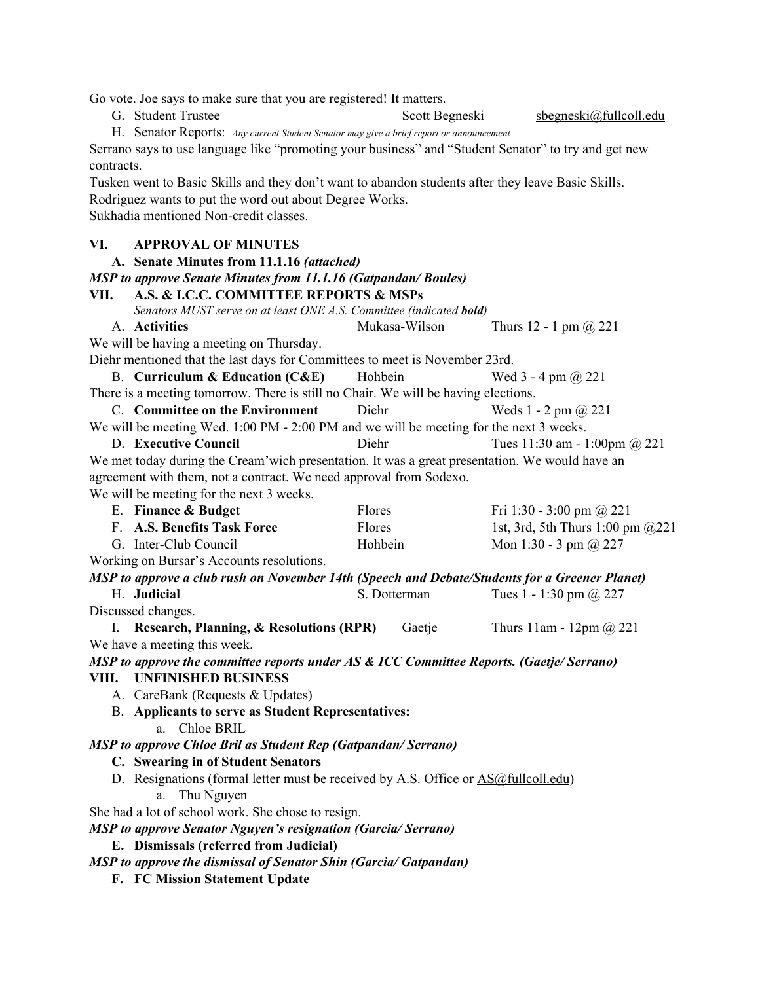Go vote. Joe says to make sure that you are registered! It matters.

G. Student Trustee Scott Begneski sbegneski@fullcoll.edu

H. Senator Reports: *Any current Student Senator may give a brief report or announcement*

Serrano says to use language like "promoting your business" and "Student Senator" to try and get new contracts.

Tusken went to Basic Skills and they don't want to abandon students after they leave Basic Skills. Rodriguez wants to put the word out about Degree Works.

Sukhadia mentioned Non-credit classes.

#### **VI. APPROVAL OF MINUTES**

**A. Senate Minutes from 11.1.16** *(attached)*

*MSP to approve Senate Minutes from 11.1.16 (Gatpandan/ Boules)*

#### **VII. A.S. & I.C.C. COMMITTEE REPORTS & MSPs**

*Senators MUST serve on at least ONE A.S. Committee (indicated bold)*

A. **Activities** Mukasa-Wilson Thurs 12 - 1 pm @ 221

We will be having a meeting on Thursday.

Diehr mentioned that the last days for Committees to meet is November 23rd.

B. **Curriculum & Education (C&E)** Hohbein Wed 3 - 4 pm @ 221

There is a meeting tomorrow. There is still no Chair. We will be having elections.

C. **Committee on the Environment** Diehr Weds 1 - 2 pm @ 221 We will be meeting Wed. 1:00 PM - 2:00 PM and we will be meeting for the next 3 weeks.

D. **Executive Council** Diehr Tues 11:30 am - 1:00pm @ 221

We met today during the Cream'wich presentation. It was a great presentation. We would have an agreement with them, not a contract. We need approval from Sodexo.

We will be meeting for the next 3 weeks.

|                                                                                               | E. Finance & Budget                                                                | Flores  |              | Fri 1:30 - 3:00 pm @ 221           |  |  |  |  |
|-----------------------------------------------------------------------------------------------|------------------------------------------------------------------------------------|---------|--------------|------------------------------------|--|--|--|--|
|                                                                                               | F. A.S. Benefits Task Force                                                        | Flores  |              | 1st, 3rd, 5th Thurs 1:00 pm $@221$ |  |  |  |  |
|                                                                                               | G. Inter-Club Council                                                              | Hohbein |              | Mon 1:30 - 3 pm $(a)$ 227          |  |  |  |  |
|                                                                                               | Working on Bursar's Accounts resolutions.                                          |         |              |                                    |  |  |  |  |
| MSP to approve a club rush on November 14th (Speech and Debate/Students for a Greener Planet) |                                                                                    |         |              |                                    |  |  |  |  |
|                                                                                               | H. Judicial                                                                        |         | S. Dotterman | Tues 1 - 1:30 pm $\omega$ 227      |  |  |  |  |
| Discussed changes.                                                                            |                                                                                    |         |              |                                    |  |  |  |  |
|                                                                                               | <b>Research, Planning, &amp; Resolutions (RPR)</b>                                 |         | Gaetje       | Thurs 11am - 12pm $\omega$ 221     |  |  |  |  |
| We have a meeting this week.                                                                  |                                                                                    |         |              |                                    |  |  |  |  |
| MSP to approve the committee reports under AS & ICC Committee Reports. (Gaetje/Serrano)       |                                                                                    |         |              |                                    |  |  |  |  |
| VIII.                                                                                         | <b>UNFINISHED BUSINESS</b>                                                         |         |              |                                    |  |  |  |  |
|                                                                                               | A. CareBank (Requests & Updates)                                                   |         |              |                                    |  |  |  |  |
| <b>B.</b> Applicants to serve as Student Representatives:                                     |                                                                                    |         |              |                                    |  |  |  |  |
|                                                                                               | a. Chloe BRIL                                                                      |         |              |                                    |  |  |  |  |
| <b>MSP</b> to approve Chloe Bril as Student Rep (Gatpandan/Serrano)                           |                                                                                    |         |              |                                    |  |  |  |  |
| C. Swearing in of Student Senators                                                            |                                                                                    |         |              |                                    |  |  |  |  |
|                                                                                               | D. Resignations (formal letter must be received by A.S. Office or AS@fullcoll.edu) |         |              |                                    |  |  |  |  |
|                                                                                               | Thu Nguyen<br>a.                                                                   |         |              |                                    |  |  |  |  |
|                                                                                               |                                                                                    |         |              |                                    |  |  |  |  |

She had a lot of school work. She chose to resign.

*MSP to approve Senator Nguyen's resignation (Garcia/ Serrano)*

# **E. Dismissals (referred from Judicial)**

*MSP to approve the dismissal of Senator Shin (Garcia/ Gatpandan)*

**F. FC Mission Statement Update**